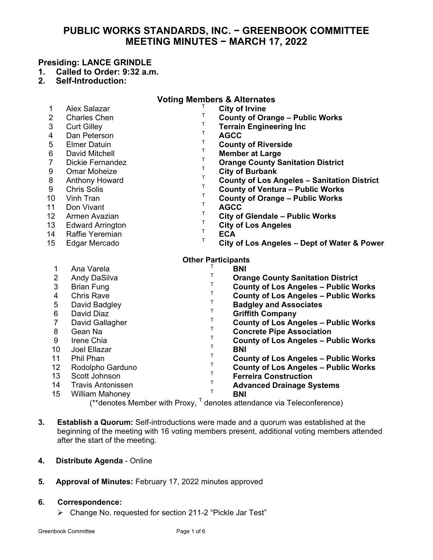# **PUBLIC WORKS STANDARDS, INC. − GREENBOOK COMMITTEE MEETING MINUTES − MARCH 17, 2022**

## **Presiding: LANCE GRINDLE**

- **1. Called to Order: 9:32 a.m.**
- **2. Self-Introduction:**

| <b>Voting Members &amp; Alternates</b>                                                 |                          |                  |                                                    |
|----------------------------------------------------------------------------------------|--------------------------|------------------|----------------------------------------------------|
| 1                                                                                      | <b>Alex Salazar</b>      |                  | <b>City of Irvine</b>                              |
| $\overline{2}$                                                                         | <b>Charles Chen</b>      | Τ                | <b>County of Orange - Public Works</b>             |
| 3                                                                                      | <b>Curt Gilley</b>       | Т                | <b>Terrain Engineering Inc</b>                     |
| 4                                                                                      | Dan Peterson             | T<br><b>AGCC</b> |                                                    |
| 5                                                                                      | <b>Elmer Datuin</b>      | Τ                | <b>County of Riverside</b>                         |
| 6                                                                                      | David Mitchell           | T                | <b>Member at Large</b>                             |
| $\overline{7}$                                                                         | <b>Dickie Fernandez</b>  | Τ                | <b>Orange County Sanitation District</b>           |
| 9                                                                                      | <b>Omar Moheize</b>      | $\sf T$          | <b>City of Burbank</b>                             |
| 8                                                                                      | <b>Anthony Howard</b>    | $\sf T$          | <b>County of Los Angeles - Sanitation District</b> |
| 9                                                                                      | <b>Chris Solis</b>       | Τ                | <b>County of Ventura - Public Works</b>            |
| 10                                                                                     | Vinh Tran                | T                | <b>County of Orange - Public Works</b>             |
| 11                                                                                     | Don Vivant               | T<br><b>AGCC</b> |                                                    |
| 12                                                                                     | Armen Avazian            | Τ                | <b>City of Glendale - Public Works</b>             |
| 13                                                                                     | <b>Edward Arrington</b>  | Τ                | <b>City of Los Angeles</b>                         |
| 14                                                                                     | <b>Raffie Yeremian</b>   | T<br><b>ECA</b>  |                                                    |
| 15                                                                                     | Edgar Mercado            | $\mathsf T$      | City of Los Angeles - Dept of Water & Power        |
| <b>Other Participants</b>                                                              |                          |                  |                                                    |
| 1                                                                                      | Ana Varela               | Τ                | <b>BNI</b>                                         |
| $\overline{2}$                                                                         | Andy DaSilva             | T                | <b>Orange County Sanitation District</b>           |
| 3                                                                                      | <b>Brian Fung</b>        | T.               | <b>County of Los Angeles - Public Works</b>        |
| 4                                                                                      | <b>Chris Rave</b>        | T.               | <b>County of Los Angeles - Public Works</b>        |
| 5                                                                                      | David Badgley            | Т                | <b>Badgley and Associates</b>                      |
| 6                                                                                      | David Diaz               | Т                | <b>Griffith Company</b>                            |
| $\overline{7}$                                                                         | David Gallagher          | T                | <b>County of Los Angeles - Public Works</b>        |
| 8                                                                                      | Gean Na                  | $\top$           | <b>Concrete Pipe Association</b>                   |
| 9                                                                                      | Irene Chia               | Τ                | <b>County of Los Angeles - Public Works</b>        |
| 10                                                                                     | Joel Ellazar             | Τ                | <b>BNI</b>                                         |
| 11                                                                                     | Phil Phan                | Τ                | <b>County of Los Angeles - Public Works</b>        |
| 12                                                                                     | Rodolpho Garduno         | Т                | <b>County of Los Angeles - Public Works</b>        |
| 13                                                                                     | Scott Johnson            | Т                | <b>Ferreira Construction</b>                       |
| 14                                                                                     | <b>Travis Antonissen</b> | T                | <b>Advanced Drainage Systems</b>                   |
| 15                                                                                     | <b>William Mahoney</b>   | T                | <b>BNI</b>                                         |
| $(**$ denotes Member with Proxy, $\overline{ }$ denotes attendance via Teleconference) |                          |                  |                                                    |

**3. Establish a Quorum:** Self-introductions were made and a quorum was established at the beginning of the meeting with 16 voting members present, additional voting members attended after the start of the meeting.

### **4. Distribute Agenda** - Online

**5. Approval of Minutes:** February 17, 2022 minutes approved

#### **6. Correspondence:**

Change No. requested for section 211-2 "Pickle Jar Test"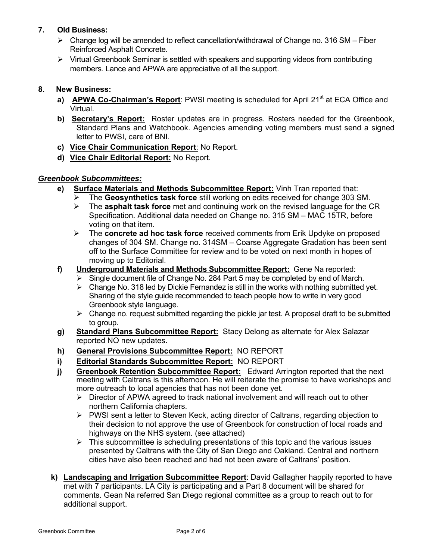# **7. Old Business:**

- $\triangleright$  Change log will be amended to reflect cancellation/withdrawal of Change no. 316 SM Fiber Reinforced Asphalt Concrete.
- $\triangleright$  Virtual Greenbook Seminar is settled with speakers and supporting videos from contributing members. Lance and APWA are appreciative of all the support.

# **8. New Business:**

- a) **APWA Co-Chairman's Report**: PWSI meeting is scheduled for April 21<sup>st</sup> at ECA Office and Virtual.
- **b) Secretary's Report:** Roster updates are in progress. Rosters needed for the Greenbook, Standard Plans and Watchbook. Agencies amending voting members must send a signed letter to PWSI, care of BNI.
- **c) Vice Chair Communication Report**: No Report.
- **d) Vice Chair Editorial Report:** No Report.

### *Greenbook Subcommittees:*

- **e) Surface Materials and Methods Subcommittee Report:** Vinh Tran reported that:
	- The **Geosynthetics task force** still working on edits received for change 303 SM.
	- The **asphalt task force** met and continuing work on the revised language for the CR Specification. Additional data needed on Change no. 315 SM – MAC 15TR, before voting on that item.
	- The **concrete ad hoc task force** received comments from Erik Updyke on proposed changes of 304 SM. Change no. 314SM – Coarse Aggregate Gradation has been sent off to the Surface Committee for review and to be voted on next month in hopes of moving up to Editorial.
- **f) Underground Materials and Methods Subcommittee Report:** Gene Na reported:
	- $\triangleright$  Single document file of Change No. 284 Part 5 may be completed by end of March.
	- $\triangleright$  Change No. 318 led by Dickie Fernandez is still in the works with nothing submitted yet. Sharing of the style guide recommended to teach people how to write in very good Greenbook style language.
	- $\triangleright$  Change no. request submitted regarding the pickle jar test. A proposal draft to be submitted to group.
- **g) Standard Plans Subcommittee Report:** Stacy Delong as alternate for Alex Salazar reported NO new updates.
- **h) General Provisions Subcommittee Report:** NO REPORT
- **i) Editorial Standards Subcommittee Report:** NO REPORT
- **j) Greenbook Retention Subcommittee Report:** Edward Arrington reported that the next meeting with Caltrans is this afternoon. He will reiterate the promise to have workshops and more outreach to local agencies that has not been done yet.
	- $\triangleright$  Director of APWA agreed to track national involvement and will reach out to other northern California chapters.
	- ▶ PWSI sent a letter to Steven Keck, acting director of Caltrans, regarding objection to their decision to not approve the use of Greenbook for construction of local roads and highways on the NHS system. (see attached)
	- $\triangleright$  This subcommittee is scheduling presentations of this topic and the various issues presented by Caltrans with the City of San Diego and Oakland. Central and northern cities have also been reached and had not been aware of Caltrans' position.
- **k) Landscaping and Irrigation Subcommittee Report**: David Gallagher happily reported to have met with 7 participants. LA City is participating and a Part 8 document will be shared for comments. Gean Na referred San Diego regional committee as a group to reach out to for additional support.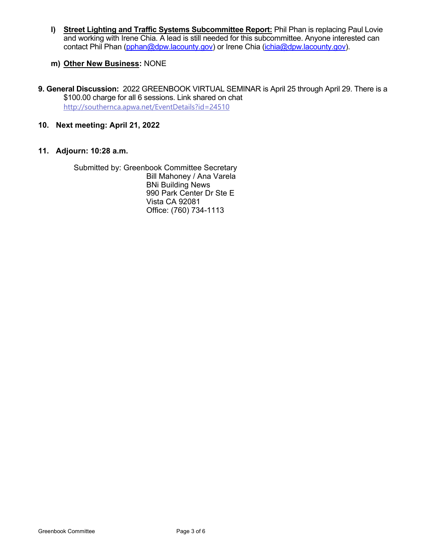**l) Street Lighting and Traffic Systems Subcommittee Report:** Phil Phan is replacing Paul Lovie and working with Irene Chia. A lead is still needed for this subcommittee. Anyone interested can contact Phil Phan (pphan@dpw.lacounty.gov) or Irene Chia (ichia@dpw.lacounty.gov).

## **m) Other New Business:** NONE

- **9. General Discussion:** 2022 GREENBOOK VIRTUAL SEMINAR is April 25 through April 29. There is a \$100.00 charge for all 6 sessions. Link shared on chat http://southernca.apwa.net/EventDetails?id=24510
- **10. Next meeting: April 21, 2022**

### **11. Adjourn: 10:28 a.m.**

Submitted by: Greenbook Committee Secretary Bill Mahoney / Ana Varela BNi Building News 990 Park Center Dr Ste E Vista CA 92081 Office: (760) 734-1113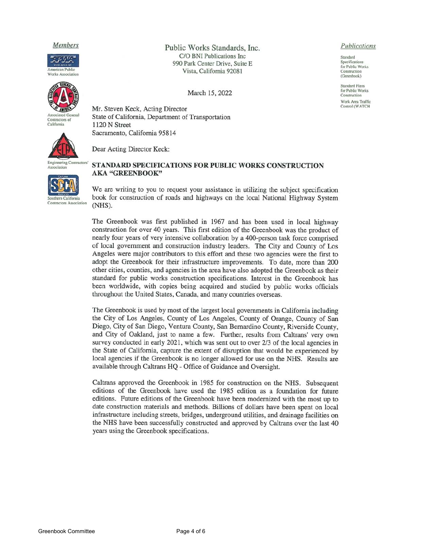#### Members





Contractors of California



Association

**Engineering Contractors** 

outhern California **Contractors Association**  Public Works Standards, Inc. C/O BNI Publications Inc 990 Park Center Drive, Suite E Vista, California 92081

March 15, 2022

Mr. Steven Keck, Acting Director State of California, Department of Transportation 1120 N Street Sacramento, California 95814

Dear Acting Director Keck:

#### STANDARD SPECIFICATIONS FOR PUBLIC WORKS CONSTRUCTION AKA "GREENBOOK"

We are writing to you to request your assistance in utilizing the subject specification book for construction of roads and highways on the local National Highway System (NHS).

The Greenbook was first published in 1967 and has been used in local highway construction for over 40 years. This first edition of the Greenbook was the product of nearly four years of very intensive collaboration by a 400-person task force comprised of local government and construction industry leaders. The City and County of Los Angeles were major contributors to this effort and these two agencies were the first to adopt the Greenbook for their infrastructure improvements. To date, more than 200 other cities, counties, and agencies in the area have also adopted the Greenbook as their standard for public works construction specifications. Interest in the Greenbook has been worldwide, with copies being acquired and studied by public works officials throughout the United States, Canada, and many countries overseas.

The Greenbook is used by most of the largest local governments in California including the City of Los Angeles, County of Los Angeles, County of Orange, County of San Diego, City of San Diego, Ventura County, San Bernardino County, Riverside County, and City of Oakland, just to name a few. Further, results from Caltrans' very own survey conducted in early 2021, which was sent out to over 2/3 of the local agencies in the State of California, capture the extent of disruption that would be experienced by local agencies if the Greenbook is no longer allowed for use on the NHS. Results are available through Caltrans HQ - Office of Guidance and Oversight.

Caltrans approved the Greenbook in 1985 for construction on the NHS. Subsequent editions of the Greenbook have used the 1985 edition as a foundation for future editions. Future editions of the Greenbook have been modernized with the most up to date construction materials and methods. Billions of dollars have been spent on local infrastructure including streets, bridges, underground utilities, and drainage facilities on the NHS have been successfully constructed and approved by Caltrans over the last 40 years using the Greenbook specifications.

#### Publications

Standard Specifications for Public Works Construction (Greenbook)

Standard Plans for Public Works Construction Work Area Traffic Control (WATCH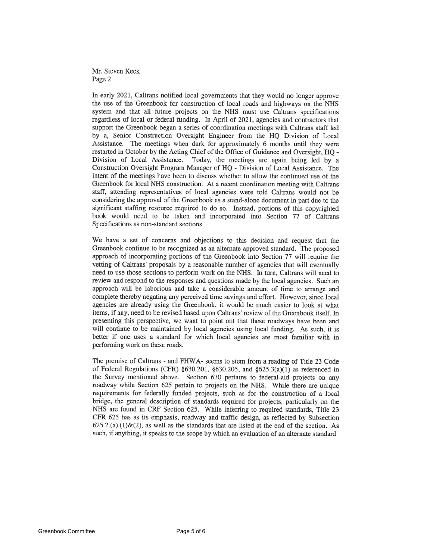#### Mr. Steven Keck Page 2

In early 2021, Caltrans notified local governments that they would no longer approve the use of the Greenbook for construction of local roads and highways on the NHS system and that all future projects on the NHS must use Caltrans specifications regardless of local or federal funding. In April of 2021, agencies and contractors that support the Greenbook began a series of coordination meetings with Caltrans staff led by a, Senior Construction Oversight Engineer from the HQ Division of Local Assistance. The meetings when dark for approximately 6 months until they were restarted in October by the Acting Chief of the Office of Guidance and Oversight, HQ -Division of Local Assistance. Today, the meetings are again being led by a Construction Oversight Program Manager of HQ - Division of Local Assistance. The intent of the meetings have been to discuss whether to allow the continued use of the Greenbook for local NHS construction. At a recent coordination meeting with Caltrans staff, attending representatives of local agencies were told Caltrans would not be considering the approval of the Greenbook as a stand-alone document in part due to the significant staffing resource required to do so. Instead, portions of this copyrighted book would need to be taken and incorporated into Section 77 of Caltrans Specifications as non-standard sections.

We have a set of concerns and objections to this decision and request that the Greenbook continue to be recognized as an alternate approved standard. The proposed approach of incorporating portions of the Greenbook into Section 77 will require the vetting of Caltrans' proposals by a reasonable number of agencies that will eventually need to use those sections to perform work on the NHS. In turn, Caltrans will need to review and respond to the responses and questions made by the local agencies. Such an approach will be laborious and take a considerable amount of time to arrange and complete thereby negating any perceived time savings and effort. However, since local agencies are already using the Greenbook, it would be much easier to look at what items, if any, need to be revised based upon Caltrans' review of the Greenbook itself. In presenting this perspective, we want to point out that these roadways have been and will continue to be maintained by local agencies using local funding. As such, it is better if one uses a standard for which local agencies are most familiar with in performing work on these roads.

The premise of Caltrans - and FHWA- seems to stem from a reading of Title 23 Code of Federal Regulations (CFR) §630.201, §630.205, and §625.3(a)(1) as referenced in the Survey mentioned above. Section 630 pertains to federal-aid projects on any roadway while Section 625 pertain to projects on the NHS. While there are unique requirements for federally funded projects, such as for the construction of a local bridge, the general description of standards required for projects, particularly on the NHS are found in CRF Section 625. While inferring to required standards, Title 23 CFR 625 has as its emphasis, roadway and traffic design, as reflected by Subsection  $625.2(a)(1)$ &(2), as well as the standards that are listed at the end of the section. As such, if anything, it speaks to the scope by which an evaluation of an alternate standard